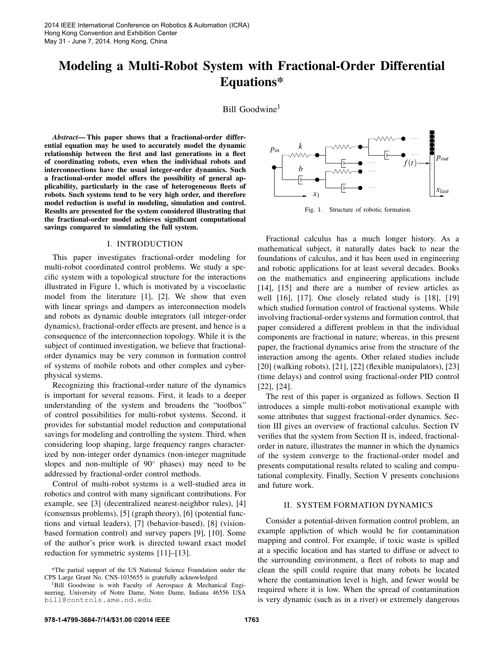# Modeling a Multi-Robot System with Fractional-Order Differential Equations\*

Bill Goodwine<sup>1</sup>

*Abstract*— This paper shows that a fractional-order differential equation may be used to accurately model the dynamic relationship between the first and last generations in a fleet of coordinating robots, even when the individual robots and interconnections have the usual integer-order dynamics. Such a fractional-order model offers the possibility of general applicability, particularly in the case of heterogeneous fleets of robots. Such systems tend to be very high order, and therefore model reduction is useful in modeling, simulation and control. Results are presented for the system considered illustrating that the fractional-order model achieves significant computational savings compared to simulating the full system.

### I. INTRODUCTION

This paper investigates fractional-order modeling for multi-robot coordinated control problems. We study a specific system with a topological structure for the interactions illustrated in Figure 1, which is motivated by a viscoelastic model from the literature [1], [2]. We show that even with linear springs and dampers as interconnection models and robots as dynamic double integrators (all integer-order dynamics), fractional-order effects are present, and hence is a consequence of the interconnection topology. While it is the subject of continued investigation, we believe that fractionalorder dynamics may be very common in formation control of systems of mobile robots and other complex and cyberphysical systems.

Recognizing this fractional-order nature of the dynamics is important for several reasons. First, it leads to a deeper understanding of the system and broadens the "toolbox" of control possibilities for multi-robot systems. Second, it provides for substantial model reduction and computational savings for modeling and controlling the system. Third, when considering loop shaping, large frequency ranges characterized by non-integer order dynamics (non-integer magnitude slopes and non-multiple of 90◦ phases) may need to be addressed by fractional-order control methods.

Control of multi-robot systems is a well-studied area in robotics and control with many significant contributions. For example, see [3] (decentralized nearest-neighbor rules), [4] (consensus problems), [5] (graph theory), [6] (potential functions and virtual leaders), [7] (behavior-based), [8] (visionbased formation control) and survey papers [9], [10]. Some of the author's prior work is directed toward exact model reduction for symmetric systems [11]–[13].



Fig. 1. Structure of robotic formation.

Fractional calculus has a much longer history. As a mathematical subject, it naturally dates back to near the foundations of calculus, and it has been used in engineering and robotic applications for at least several decades. Books on the mathematics and engineering applications include [14], [15] and there are a number of review articles as well  $[16]$ ,  $[17]$ . One closely related study is  $[18]$ ,  $[19]$ which studied formation control of fractional systems. While involving fractional-order systems and formation control, that paper considered a different problem in that the individual components are fractional in nature; whereas, in this present paper, the fractional dynamics arise from the structure of the interaction among the agents. Other related studies include [20] (walking robots), [21], [22] (flexible manipulators), [23] (time delays) and control using fractional-order PID control [22], [24].

The rest of this paper is organized as follows. Section II introduces a simple multi-robot motivational example with some attributes that suggest fractional-order dynamics. Section III gives an overview of fractional calculus. Section IV verifies that the system from Section II is, indeed, fractionalorder in nature, illustrates the manner in which the dynamics of the system converge to the fractional-order model and presents computational results related to scaling and computational complexity. Finally, Section V presents conclusions and future work.

## II. SYSTEM FORMATION DYNAMICS

Consider a potential-driven formation control problem, an example appliction of which would be for contamination mapping and control. For example, if toxic waste is spilled at a specific location and has started to diffuse or advect to the surrounding environment, a fleet of robots to map and clean the spill could require that many robots be located where the contamination level is high, and fewer would be required where it is low. When the spread of contamination is very dynamic (such as in a river) or extremely dangerous

<sup>\*</sup>The partial support of the US National Science Foundation under the CPS Large Grant No. CNS-1035655 is gratefully acknowledged.

<sup>&</sup>lt;sup>1</sup>Bill Goodwine is with Faculty of Aerospace  $\&$  Mechanical Engineering, University of Notre Dame, Notre Dame, Indiana 46556 USA bill@controls.ame.nd.edu.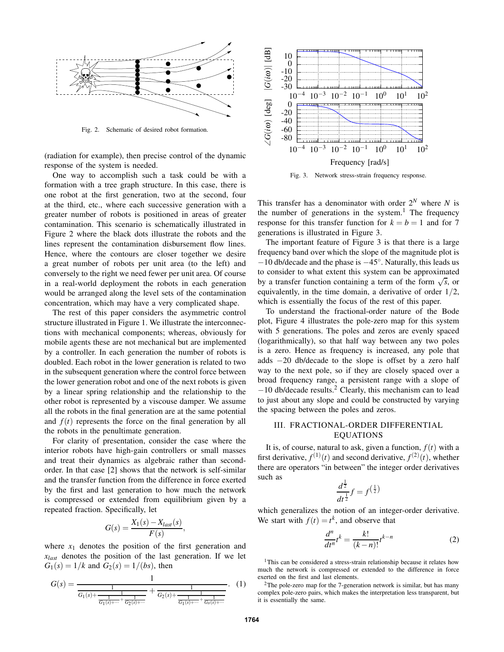

Fig. 2. Schematic of desired robot formation.

(radiation for example), then precise control of the dynamic response of the system is needed.

One way to accomplish such a task could be with a formation with a tree graph structure. In this case, there is one robot at the first generation, two at the second, four at the third, etc., where each successive generation with a greater number of robots is positioned in areas of greater contamination. This scenario is schematically illustrated in Figure 2 where the black dots illustrate the robots and the lines represent the contamination disbursement flow lines. Hence, where the contours are closer together we desire a great number of robots per unit area (to the left) and conversely to the right we need fewer per unit area. Of course in a real-world deployment the robots in each generation would be arranged along the level sets of the contamination concentration, which may have a very complicated shape.

The rest of this paper considers the asymmetric control structure illustrated in Figure 1. We illustrate the interconnections with mechanical components; whereas, obviously for mobile agents these are not mechanical but are implemented by a controller. In each generation the number of robots is doubled. Each robot in the lower generation is related to two in the subsequent generation where the control force between the lower generation robot and one of the next robots is given by a linear spring relationship and the relationship to the other robot is represented by a viscouse damper. We assume all the robots in the final generation are at the same potential and  $f(t)$  represents the force on the final generation by all the robots in the penultimate generation.

For clarity of presentation, consider the case where the interior robots have high-gain controllers or small masses and treat their dynamics as algebraic rather than secondorder. In that case [2] shows that the network is self-similar and the transfer function from the difference in force exerted by the first and last generation to how much the network is compressed or extended from equilibrium given by a repeated fraction. Specifically, let

$$
G(s) = \frac{X_1(s) - X_{last}(s)}{F(s)},
$$

where  $x_1$  denotes the position of the first generation and *xlast* denotes the position of the last generation. If we let  $G_1(s) = 1/k$  and  $G_2(s) = 1/(bs)$ , then

$$
G(s) = \frac{1}{\frac{1}{G_1(s) + \frac{1}{\frac{1}{G_1(s) + \dots + \frac{1}{G_2(s) + \dotsb}}}} + \frac{1}{\frac{1}{G_2(s) + \frac{1}{\frac{1}{G_1(s) + \dots + \frac{1}{G_s(s) + \dotsb}}}}}}.
$$
(1)



Fig. 3. Network stress-strain frequency response.

This transfer has a denominator with order  $2^N$  where *N* is the number of generations in the system.<sup>1</sup> The frequency response for this transfer function for  $k = b = 1$  and for 7 generations is illustrated in Figure 3.

The important feature of Figure 3 is that there is a large frequency band over which the slope of the magnitude plot is −10 db/decade and the phase is −45◦ . Naturally, this leads us to consider to what extent this system can be approximated by a transfer function containing a term of the form  $\sqrt{s}$ , or equivalently, in the time domain, a derivative of order  $1/2$ , which is essentially the focus of the rest of this paper.

To understand the fractional-order nature of the Bode plot, Figure 4 illustrates the pole-zero map for this system with 5 generations. The poles and zeros are evenly spaced (logarithmically), so that half way between any two poles is a zero. Hence as frequency is increased, any pole that adds −20 db/decade to the slope is offset by a zero half way to the next pole, so if they are closely spaced over a broad frequency range, a persistent range with a slope of  $-10$  db/decade results.<sup>2</sup> Clearly, this mechanism can to lead to just about any slope and could be constructed by varying the spacing between the poles and zeros.

## III. FRACTIONAL-ORDER DIFFERENTIAL EQUATIONS

It is, of course, natural to ask, given a function,  $f(t)$  with a first derivative,  $f^{(1)}(t)$  and second derivative,  $f^{(2)}(t)$ , whether there are operators "in between" the integer order derivatives such as

$$
\frac{d^{\frac{1}{2}}}{dt^{\frac{1}{2}}}f = f^{\left(\frac{1}{2}\right)}
$$

which generalizes the notion of an integer-order derivative. We start with  $f(t) = t^k$ , and observe that

$$
\frac{d^n}{dt^n}t^k = \frac{k!}{(k-n)!}t^{k-n}
$$
\n<sup>(2)</sup>

<sup>1</sup>This can be considered a stress-strain relationship because it relates how much the network is compressed or extended to the difference in force exerted on the first and last elements.

 $2$ The pole-zero map for the 7-generation network is similar, but has many complex pole-zero pairs, which makes the interpretation less transparent, but it is essentially the same.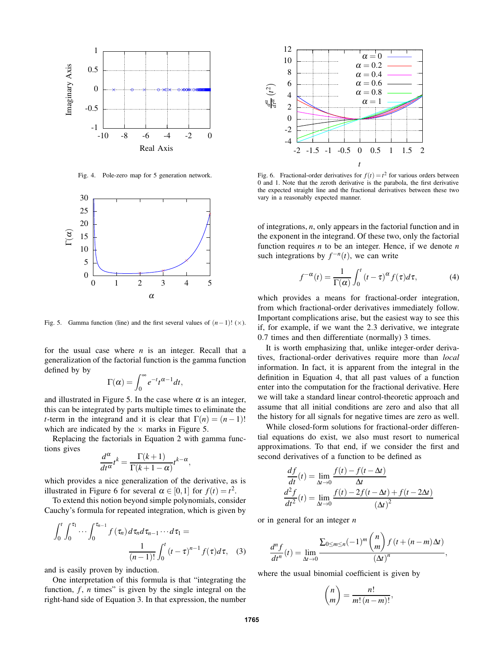

Fig. 4. Pole-zero map for 5 generation network.



Fig. 5. Gamma function (line) and the first several values of  $(n-1)!$   $(\times)$ .

for the usual case where *n* is an integer. Recall that a generalization of the factorial function is the gamma function defined by by

$$
\Gamma(\alpha) = \int_0^\infty e^{-t} t^{\alpha - 1} dt,
$$

and illustrated in Figure 5. In the case where  $\alpha$  is an integer, this can be integrated by parts multiple times to eliminate the *t*-term in the integrand and it is clear that  $\Gamma(n) = (n-1)!$ which are indicated by the  $\times$  marks in Figure 5.

Replacing the factorials in Equation 2 with gamma functions gives

$$
\frac{d^{\alpha}}{dt^{\alpha}}t^k = \frac{\Gamma(k+1)}{\Gamma(k+1-\alpha)}t^{k-\alpha},
$$

which provides a nice generalization of the derivative, as is illustrated in Figure 6 for several  $\alpha \in [0,1]$  for  $f(t) = t^2$ .

To extend this notion beyond simple polynomials, consider Cauchy's formula for repeated integration, which is given by

$$
\int_0^t \int_0^{\tau_1} \cdots \int_0^{\tau_{n-1}} f(\tau_n) d\tau_n d\tau_{n-1} \cdots d\tau_1 = \frac{1}{(n-1)!} \int_0^t (t-\tau)^{n-1} f(\tau) d\tau, \quad (3)
$$

and is easily proven by induction.

One interpretation of this formula is that "integrating the function,  $f$ ,  $n$  times" is given by the single integral on the right-hand side of Equation 3. In that expression, the number



Fig. 6. Fractional-order derivatives for  $f(t) = t^2$  for various orders between 0 and 1. Note that the zeroth derivative is the parabola, the first derivative the expected straight line and the fractional derivatives between these two vary in a reasonably expected manner.

of integrations, *n*, only appears in the factorial function and in the exponent in the integrand. Of these two, only the factorial function requires *n* to be an integer. Hence, if we denote *n* such integrations by  $f^{-n}(t)$ , we can write

$$
f^{-\alpha}(t) = \frac{1}{\Gamma(\alpha)} \int_0^t (t - \tau)^{\alpha} f(\tau) d\tau,
$$
 (4)

which provides a means for fractional-order integration, from which fractional-order derivatives immediately follow. Important complications arise, but the easiest way to see this if, for example, if we want the 2.3 derivative, we integrate 0.7 times and then differentiate (normally) 3 times.

It is worth emphasizing that, unlike integer-order derivatives, fractional-order derivatives require more than *local* information. In fact, it is apparent from the integral in the definition in Equation 4, that all past values of a function enter into the computation for the fractional derivative. Here we will take a standard linear control-theoretic approach and assume that all initial conditions are zero and also that all the history for all signals for negative times are zero as well.

While closed-form solutions for fractional-order differential equations do exist, we also must resort to numerical approximations. To that end, if we consider the first and second derivatives of a function to be defined as

$$
\frac{df}{dt}(t) = \lim_{\Delta t \to 0} \frac{f(t) - f(t - \Delta t)}{\Delta t}
$$

$$
\frac{d^2 f}{dt^2}(t) = \lim_{\Delta t \to 0} \frac{f(t) - 2f(t - \Delta t) + f(t - 2\Delta t)}{(\Delta t)^2}
$$

or in general for an integer *n*

$$
\frac{d^n f}{dt^n}(t) = \lim_{\Delta t \to 0} \frac{\sum_{0 \le m \le n} (-1)^m \binom{n}{m} f(t + (n-m)\Delta t)}{(\Delta t)^n},
$$

where the usual binomial coefficient is given by

$$
\binom{n}{m} = \frac{n!}{m!(n-m)!},
$$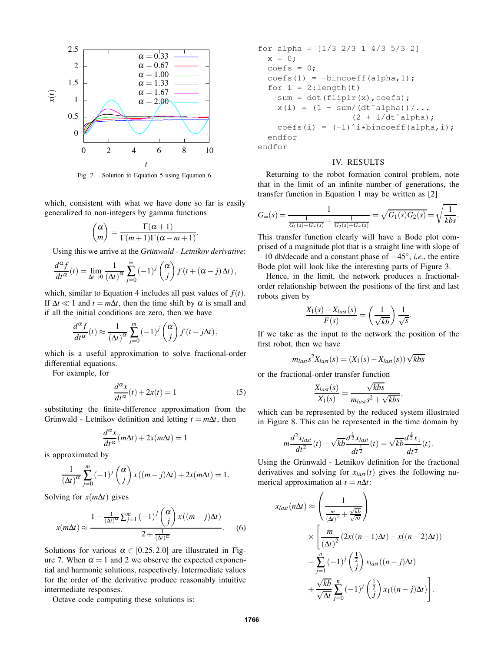

Fig. 7. Solution to Equation 5 using Equation 6.

which, consistent with what we have done so far is easily generalized to non-integers by gamma functions

$$
\binom{\alpha}{m} = \frac{\Gamma(\alpha+1)}{\Gamma(m+1)\Gamma(\alpha-m+1)}.
$$

Using this we arrive at the *Grünwald - Letnikov derivative*:

$$
\frac{d^{\alpha}f}{dt^{\alpha}}(t) = \lim_{\Delta t \to 0} \frac{1}{(\Delta t)^{\alpha}} \sum_{j=0}^{\infty} (-1)^{j} {\alpha \choose j} f(t + (\alpha - j) \Delta t),
$$

which, similar to Equation 4 includes all past values of  $f(t)$ . If  $\Delta t \ll 1$  and  $t = m\Delta t$ , then the time shift by  $\alpha$  is small and if all the initial conditions are zero, then we have

$$
\frac{d^{\alpha} f}{dt^{\alpha}}(t) \approx \frac{1}{(\Delta t)^{\alpha}} \sum_{j=0}^{m} (-1)^{j} {\alpha \choose j} f(t - j\Delta t),
$$

which is a useful approximation to solve fractional-order differential equations.

For example, for

$$
\frac{d^{\alpha}x}{dt^{\alpha}}(t) + 2x(t) = 1
$$
\n(5)

substituting the finite-difference approximation from the Grünwald - Letnikov definition and letting  $t = m\Delta t$ , then

$$
\frac{d^{\alpha}x}{dt^{\alpha}}(m\Delta t) + 2x(m\Delta t) = 1
$$

is approximated by

$$
\frac{1}{(\Delta t)^{\alpha}} \sum_{j=0}^{m} (-1)^{j} {\alpha \choose j} x((m-j)\Delta t) + 2x(m\Delta t) = 1.
$$

Solving for  $x(m\Delta t)$  gives

$$
x(m\Delta t) \approx \frac{1 - \frac{1}{(\Delta t)^{\alpha}} \sum_{j=1}^{m} (-1)^{j} \binom{\alpha}{j} x((m-j)\Delta t)}{2 + \frac{1}{(\Delta t)^{\alpha}}}. \tag{6}
$$

Solutions for various  $\alpha \in [0.25, 2.0]$  are illustrated in Figure 7. When  $\alpha = 1$  and 2 we observe the expected exponential and harmonic solutions, respectively. Intermediate values for the order of the derivative produce reasonably intuitive intermediate responses.

Octave code computing these solutions is:

for alpha = [1/3 2/3 1 4/3 5/3 2] x = 0; coefs = 0; coefs(1) = -bincoeff(alpha,1); for i = 2:length(t) sum = dot(fliplr(x),coefs); x(i) = (1 - sum/(dtˆalpha))/... (2 + 1/dtˆalpha); coefs(i) = (-1)ˆi\*bincoeff(alpha,i); endfor endfor

IV. RESULTS

## Returning to the robot formation control problem, note that in the limit of an infinite number of generations, the

transfer function in Equation 1 may be written as [2]

$$
G_{\infty}(s) = \frac{1}{\frac{1}{G_1(s) + G_{\infty}(s)} + \frac{1}{G_2(s) + G_{\infty}(s)}} = \sqrt{G_1(s)G_2(s)} = \sqrt{\frac{1}{kbs}}.
$$

This transfer function clearly will have a Bode plot comprised of a magnitude plot that is a straight line with slope of −10 db/decade and a constant phase of −45◦ , *i.e.*, the entire Bode plot will look like the interesting parts of Figure 3.

Hence, in the limit, the network produces a fractionalorder relationship between the positions of the first and last robots given by

$$
\frac{X_1(s) - X_{last}(s)}{F(s)} = \left(\frac{1}{\sqrt{kb}}\right) \frac{1}{\sqrt{s}}.
$$

If we take as the input to the network the position of the first robot, then we have

$$
m_{last} s^2 X_{last}(s) = (X_1(s) - X_{last}(s)) \sqrt{kbs}
$$

or the fractional-order transfer function

$$
\frac{X_{last}(s)}{X_1(s)} = \frac{\sqrt{kbs}}{m_{last}s^2 + \sqrt{kbs}},
$$

which can be represented by the reduced system illustrated in Figure 8. This can be represented in the time domain by

$$
m\frac{d^2x_{last}}{dt^2}(t) + \sqrt{kb}\frac{d^{\frac{1}{2}}x_{last}}{dt^{\frac{1}{2}}}(t) = \sqrt{kb}\frac{d^{\frac{1}{2}}x_1}{dt^{\frac{1}{2}}}(t).
$$

Using the Grünwald - Letnikov definition for the fractional derivatives and solving for  $x_{last}(t)$  gives the following numerical approximation at  $t = n\Delta t$ :

$$
x_{last}(n\Delta t) \approx \left(\frac{1}{\frac{m}{(\Delta t)^2} + \frac{\sqrt{kb}}{\sqrt{\Delta t}}}\right)
$$
  
 
$$
\times \left[\frac{m}{(\Delta t)^2} (2x((n-1)\Delta t) - x((n-2)\Delta t)) - \sum_{j=1}^n (-1)^j \left(\frac{1}{j}\right) x_{last}((n-j)\Delta t) + \frac{\sqrt{kb}}{\sqrt{\Delta t}} \sum_{j=0}^n (-1)^j \left(\frac{1}{j}\right) x_1((n-j)\Delta t)\right].
$$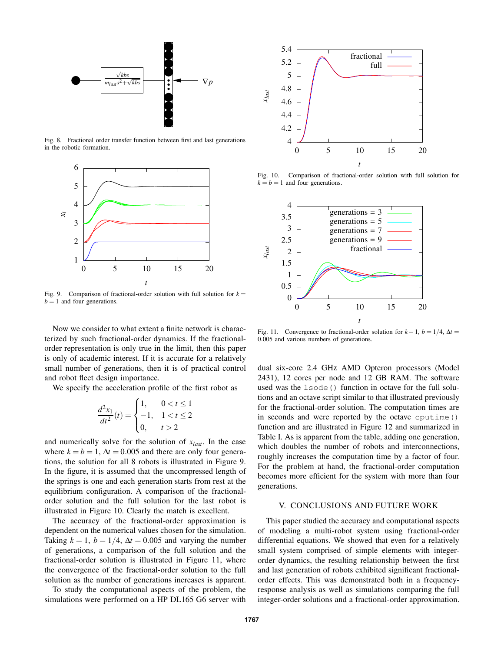

Fig. 8. Fractional order transfer function between first and last generations in the robotic formation.



Fig. 9. Comparison of fractional-order solution with full solution for  $k =$  $b = 1$  and four generations.

Now we consider to what extent a finite network is characterized by such fractional-order dynamics. If the fractionalorder representation is only true in the limit, then this paper is only of academic interest. If it is accurate for a relatively small number of generations, then it is of practical control and robot fleet design importance.

We specify the acceleration profile of the first robot as

$$
\frac{d^2x_1}{dt^2}(t) = \begin{cases} 1, & 0 < t \le 1 \\ -1, & 1 < t \le 2 \\ 0, & t > 2 \end{cases}
$$

and numerically solve for the solution of *xlast*. In the case where  $k = b = 1$ ,  $\Delta t = 0.005$  and there are only four generations, the solution for all 8 robots is illustrated in Figure 9. In the figure, it is assumed that the uncompressed length of the springs is one and each generation starts from rest at the equilibrium configuration. A comparison of the fractionalorder solution and the full solution for the last robot is illustrated in Figure 10. Clearly the match is excellent.

The accuracy of the fractional-order approximation is dependent on the numerical values chosen for the simulation. Taking  $k = 1$ ,  $b = 1/4$ ,  $\Delta t = 0.005$  and varying the number of generations, a comparison of the full solution and the fractional-order solution is illustrated in Figure 11, where the convergence of the fractional-order solution to the full solution as the number of generations increases is apparent.

To study the computational aspects of the problem, the simulations were performed on a HP DL165 G6 server with



Fig. 10. Comparison of fractional-order solution with full solution for  $k = b = 1$  and four generations.



Fig. 11. Convergence to fractional-order solution for  $k-1$ ,  $b = 1/4$ ,  $\Delta t =$ 0.005 and various numbers of generations.

dual six-core 2.4 GHz AMD Opteron processors (Model 2431), 12 cores per node and 12 GB RAM. The software used was the lsode() function in octave for the full solutions and an octave script similar to that illustrated previously for the fractional-order solution. The computation times are in seconds and were reported by the octave cputime() function and are illustrated in Figure 12 and summarized in Table I. As is apparent from the table, adding one generation, which doubles the number of robots and interconnections, roughly increases the computation time by a factor of four. For the problem at hand, the fractional-order computation becomes more efficient for the system with more than four generations.

#### V. CONCLUSIONS AND FUTURE WORK

This paper studied the accuracy and computational aspects of modeling a multi-robot system using fractional-order differential equations. We showed that even for a relatively small system comprised of simple elements with integerorder dynamics, the resulting relationship between the first and last generation of robots exhibited significant fractionalorder effects. This was demonstrated both in a frequencyresponse analysis as well as simulations comparing the full integer-order solutions and a fractional-order approximation.